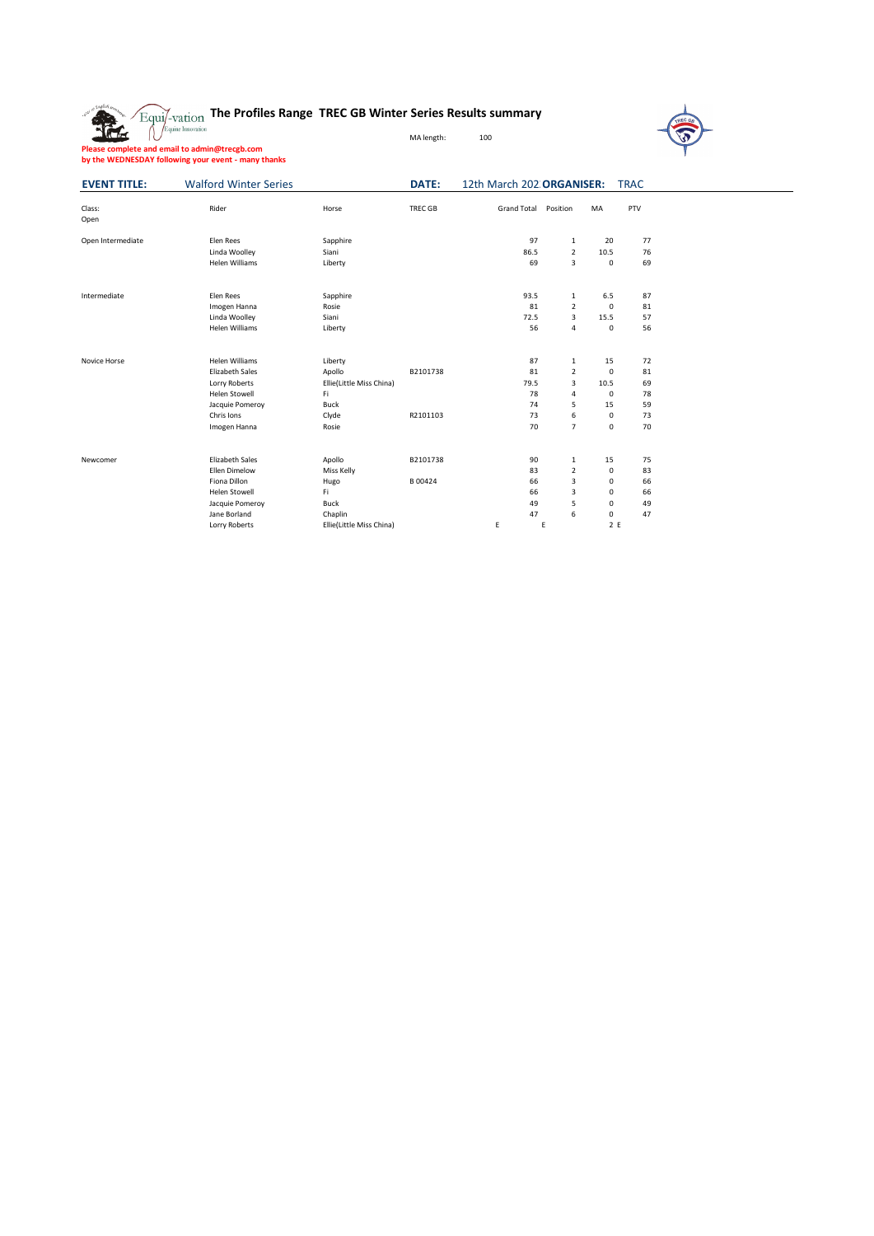## **The Profiles Range TREC GB Winter Series Results summary**



**Please complete and email to admin@trecgb.com by the WEDNESDAY following your event - many thanks** MA length: 100

|                     | by the WEDNESDAY following your event - many thanks |
|---------------------|-----------------------------------------------------|
| <b>EVENT TITLE:</b> | <b>Walford Winter Series</b>                        |

 $\frac{1}{2}$ 

| <b>DATE:</b> | 12th March 202 ORGANISER: TRAC |  |
|--------------|--------------------------------|--|

| Class:<br>Open    | Rider                  | Horse                    | <b>TREC GB</b> | <b>Grand Total</b> | Position       | <b>MA</b>        | PTV      |
|-------------------|------------------------|--------------------------|----------------|--------------------|----------------|------------------|----------|
| Open Intermediate | Elen Rees              | Sapphire                 |                | 97                 | $\mathbf{1}$   | 20               | 77       |
|                   | Linda Woolley          | Siani                    |                | 86.5               | $\overline{2}$ | 10.5             | 76       |
|                   | <b>Helen Williams</b>  | Liberty                  |                | 69                 | 3              | $\mathbf 0$      | 69       |
| Intermediate      | Elen Rees              | Sapphire                 |                | 93.5               | $\mathbf{1}$   | 6.5              | 87       |
|                   | Imogen Hanna           | Rosie                    |                | 81                 | $\overline{2}$ | $\mathbf 0$      | 81       |
|                   | Linda Woolley          | Siani                    |                | 72.5               | 3              | 15.5             | 57       |
|                   | <b>Helen Williams</b>  | Liberty                  |                | 56                 | $\overline{4}$ | $\mathbf 0$      | 56       |
|                   |                        |                          |                |                    |                |                  |          |
| Novice Horse      | <b>Helen Williams</b>  | Liberty                  |                | 87                 | $\mathbf{1}$   | 15               | 72       |
|                   | <b>Elizabeth Sales</b> | Apollo                   | B2101738       | 81                 | $\overline{2}$ | $\mathbf 0$      | 81       |
|                   | Lorry Roberts          | Ellie(Little Miss China) |                | 79.5               | 3              | 10.5             | 69       |
|                   | <b>Helen Stowell</b>   | Fi                       |                | 78                 | $\overline{4}$ | $\mathbf 0$      | 78       |
|                   | Jacquie Pomeroy        | Buck                     |                | 74                 | 5              | 15               | 59       |
|                   | Chris Ions             | Clyde                    | R2101103       | 73                 | 6              | $\mathbf 0$      | 73       |
|                   | Imogen Hanna           | Rosie                    |                | 70                 | $\overline{7}$ | $\mathbf 0$      | 70       |
|                   | <b>Flizabeth Sales</b> |                          |                | 90                 |                | 15               | 75       |
| Newcomer          | <b>Flien Dimelow</b>   | Apollo                   | B2101738       | 83                 | $\mathbf{1}$   |                  |          |
|                   |                        | Miss Kelly               |                |                    | $\overline{2}$ | $\mathbf 0$      | 83       |
|                   | Fiona Dillon           | Hugo                     | B00424         | 66                 | 3              | $\Omega$         | 66       |
|                   | <b>Helen Stowell</b>   | Fi<br>Buck               |                | 66<br>49           | 3<br>5         | 0<br>$\mathbf 0$ | 66<br>49 |
|                   | Jacquie Pomeroy        |                          |                |                    |                | $\Omega$         | 47       |
|                   | Jane Borland           | Chaplin                  |                | 47                 | 6              |                  |          |
|                   | Lorry Roberts          | Ellie(Little Miss China) |                | E                  | E              | 2E               |          |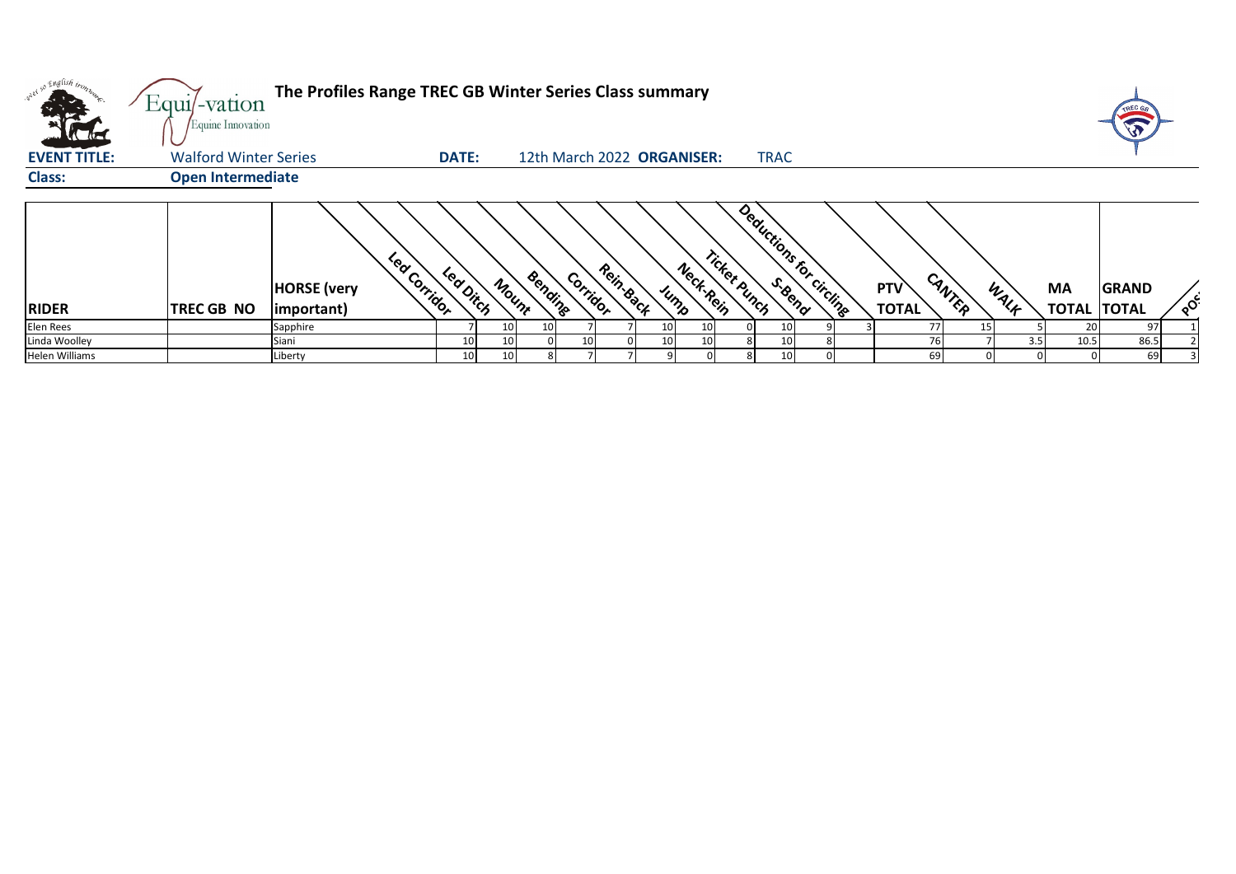|                                     | Equi/-vation<br>Equine Innovation | The Profiles Range TREC GB Winter Series Class summary |              |       |                            |          |           |                 |                   |              |             |                         |     |              |        |      |                           | TREC G                       |          |
|-------------------------------------|-----------------------------------|--------------------------------------------------------|--------------|-------|----------------------------|----------|-----------|-----------------|-------------------|--------------|-------------|-------------------------|-----|--------------|--------|------|---------------------------|------------------------------|----------|
| <b>ALLES</b><br><b>EVENT TITLE:</b> | <b>Walford Winter Series</b>      |                                                        | <b>DATE:</b> |       | 12th March 2022 ORGANISER: |          |           |                 |                   |              | <b>TRAC</b> |                         |     |              |        |      |                           |                              |          |
| <b>Class:</b>                       | <b>Open Intermediate</b>          |                                                        |              |       |                            |          |           |                 |                   |              |             |                         |     |              |        |      |                           |                              |          |
| <b>RIDER</b>                        | TREC GB NO                        | Lea Corridor<br><b>HORSE</b> (very<br>important)       | Led Ditch    | Mount | Bending                    | Corridor | Rein-Back |                 | Neck-Rein<br>Jump | Ticket punch |             | Deductions for circling | PTV | <b>TOTAL</b> | CANTER | WALF | <b>MA</b><br><b>TOTAL</b> | <b>GRAND</b><br><b>TOTAL</b> | $\delta$ |
| Elen Rees                           |                                   | Sapphire                                               |              | 10    | 10                         |          |           | 10 <sup>1</sup> | 10 <sup>1</sup>   |              |             |                         |     | 77           | 15     |      | 20                        | 97                           |          |
| Linda Woolley                       |                                   | Siani                                                  | 10           | 10    |                            |          |           | 10              | 10                |              |             |                         |     | 76           |        | 3.5  | 10.5                      | 86.5                         |          |
| Helen Williams                      |                                   | Liberty                                                | 10           | 10    |                            |          |           |                 |                   |              |             |                         |     | 69           |        | 0    |                           | 69                           |          |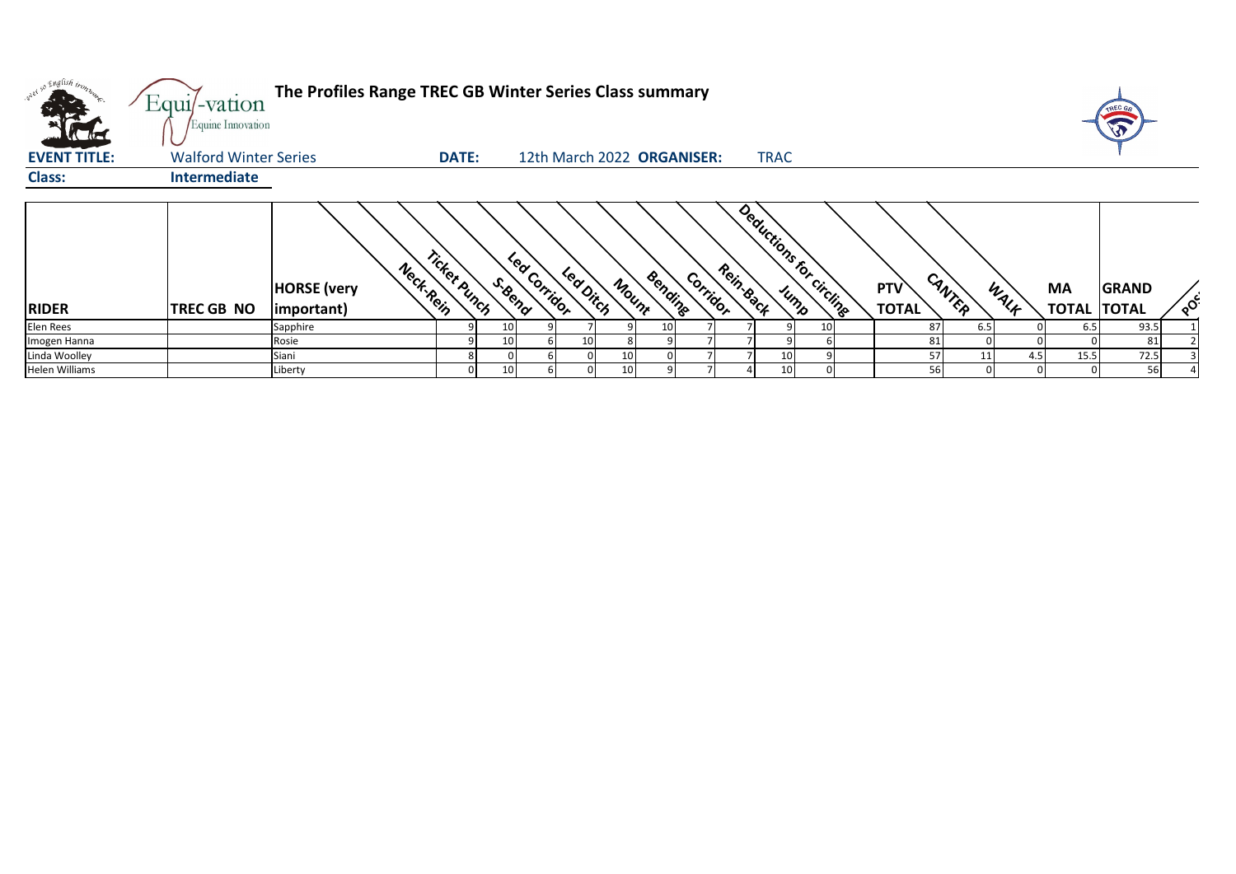| w <sup>ed so English trong</sup><br><b>All De</b><br><b>Alla</b> | Equi/-vation<br>Equine Innovation | The Profiles Range TREC GB Winter Series Class summary |              |         |              |         |                            |         |          |           |             |                         |                     |           |      |                           | <b>TREC GA</b>               |          |
|------------------------------------------------------------------|-----------------------------------|--------------------------------------------------------|--------------|---------|--------------|---------|----------------------------|---------|----------|-----------|-------------|-------------------------|---------------------|-----------|------|---------------------------|------------------------------|----------|
| <b>EVENT TITLE:</b>                                              | <b>Walford Winter Series</b>      |                                                        | <b>DATE:</b> |         |              |         | 12th March 2022 ORGANISER: |         |          |           | <b>TRAC</b> |                         |                     |           |      |                           |                              |          |
| <b>Class:</b>                                                    | <b>Intermediate</b>               |                                                        |              |         |              |         |                            |         |          |           |             |                         |                     |           |      |                           |                              |          |
|                                                                  |                                   |                                                        |              |         |              |         |                            |         |          |           |             |                         |                     |           |      |                           |                              |          |
| <b>RIDER</b>                                                     | TREC GB NO                        | Neck-Rein<br><b>HORSE</b> (very<br>important)          | Ticket Punch | S. Bend | Lea Corridor | Leading | Mount                      | Bending | Corridor | Rein-Back |             | Deductions for circuits | PTV<br><b>TOTAL</b> | CANTER    | WALK | <b>MA</b><br><b>TOTAL</b> | <b>GRAND</b><br><b>TOTAL</b> | $\delta$ |
| <b>Elen Rees</b>                                                 |                                   | Sapphire                                               |              | 10      |              |         |                            | 10      |          |           |             |                         |                     | 87<br>6.5 |      | 6.5                       | 93.5                         |          |
| Imogen Hanna                                                     |                                   | Rosie                                                  |              | 10      |              | 10      |                            |         |          |           |             |                         |                     | 81        |      |                           | 81                           |          |
| Linda Woolley                                                    |                                   | Siani                                                  |              |         |              |         | 10                         |         |          |           |             |                         |                     | 57        | 4.5  | 15.5                      | 72.5                         |          |
| <b>Helen Williams</b>                                            |                                   | Liberty                                                |              | 10      |              |         | 10 <sup>1</sup>            |         |          |           | 10          |                         |                     | 56        |      |                           | 56                           |          |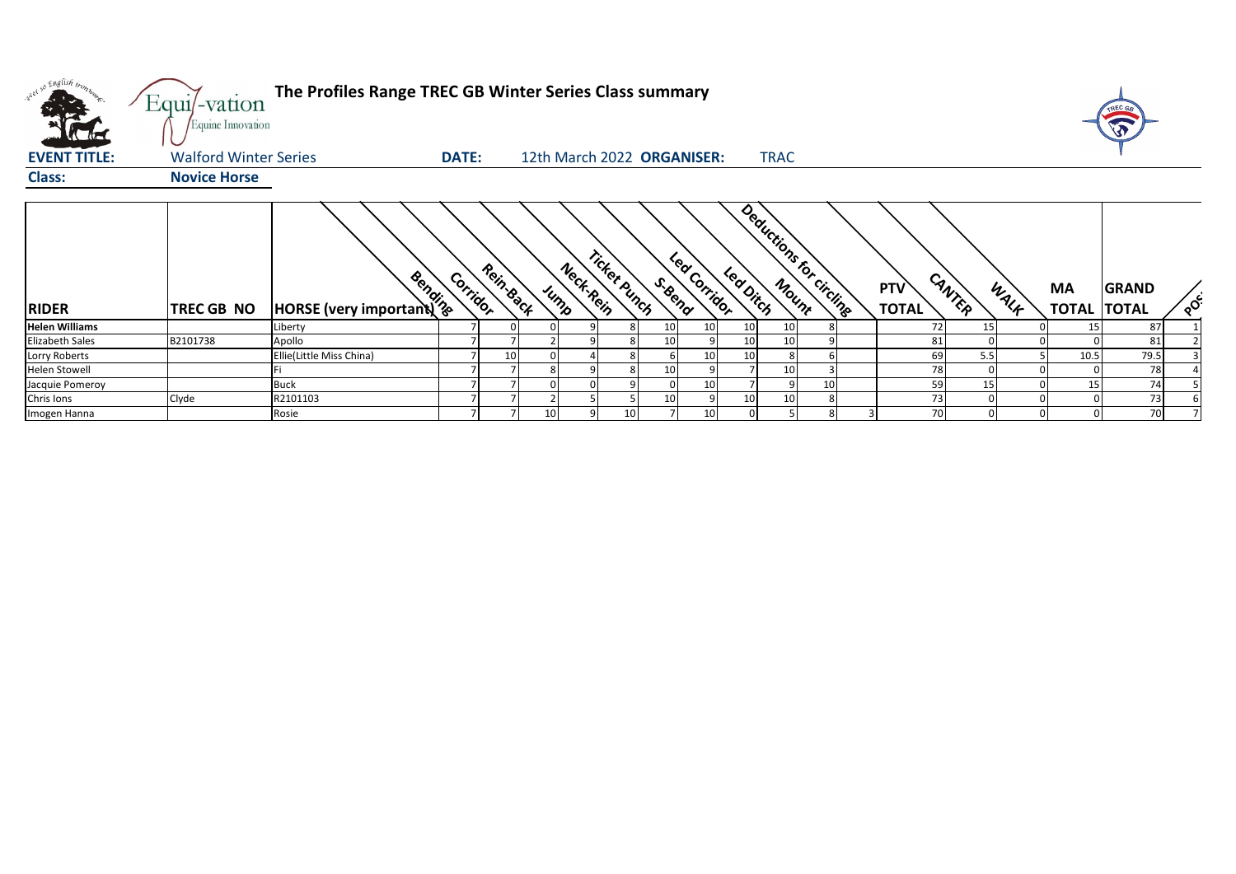| w <sup>ed 50</sup> English bronze<br><b>EVENT TITLE:</b> | Equi/-vation<br>Equine Innovation<br><b>Walford Winter Series</b> | The Profiles Range TREC GB Winter Series Class summary | <b>DATE:</b> |           |                 |                           | 12th March 2022 ORGANISER: |    | <b>TRAC</b> |                          |                            |        |      |                                 |                          |
|----------------------------------------------------------|-------------------------------------------------------------------|--------------------------------------------------------|--------------|-----------|-----------------|---------------------------|----------------------------|----|-------------|--------------------------|----------------------------|--------|------|---------------------------------|--------------------------|
| <b>Class:</b>                                            | <b>Novice Horse</b>                                               |                                                        |              |           |                 |                           |                            |    |             |                          |                            |        |      |                                 |                          |
| <b>RIDER</b>                                             | <b>TREC GB NO</b>                                                 | Books (very important)                                 | Corridor     | Rein Back | Jump            | Ticket punch<br>Neck-Rein | Lea Corridor<br>S. Bend    |    | led Ditch   | Deductions for circlings | <b>PTV</b><br><b>TOTAL</b> | CANTER | WALF | <b>MA</b><br><b>TOTAL TOTAL</b> | <b>GRAND</b><br>$\delta$ |
| <b>Helen Williams</b>                                    |                                                                   | Liberty                                                |              |           |                 |                           |                            |    |             | 10                       |                            | 15     |      | 15                              | 87                       |
| <b>Elizabeth Sales</b>                                   | B2101738                                                          | Apollo                                                 |              |           |                 |                           |                            |    |             | 10                       | 81                         |        |      |                                 | 81                       |
| Lorry Roberts                                            |                                                                   | Ellie(Little Miss China)                               |              | 10        |                 |                           |                            |    |             | 8                        | 69                         | 5.5    |      | 10.5                            | 79.5                     |
| <b>Helen Stowell</b>                                     |                                                                   |                                                        |              |           |                 |                           |                            |    |             | 10 <sup>1</sup>          | 78                         |        |      |                                 | 78                       |
| Jacquie Pomeroy                                          |                                                                   | <b>Buck</b>                                            |              |           |                 |                           |                            |    |             | 10<br>9                  | 59                         | 15     |      | 15                              | 74                       |
| Chris Ions                                               | Clyde                                                             | R2101103                                               |              |           |                 |                           |                            |    |             | 10                       | 73                         |        |      |                                 | 73                       |
| Imogen Hanna                                             |                                                                   | Rosie                                                  |              |           | 10 <sup>1</sup> | 10                        |                            | 10 |             |                          | 70                         |        |      |                                 | 70                       |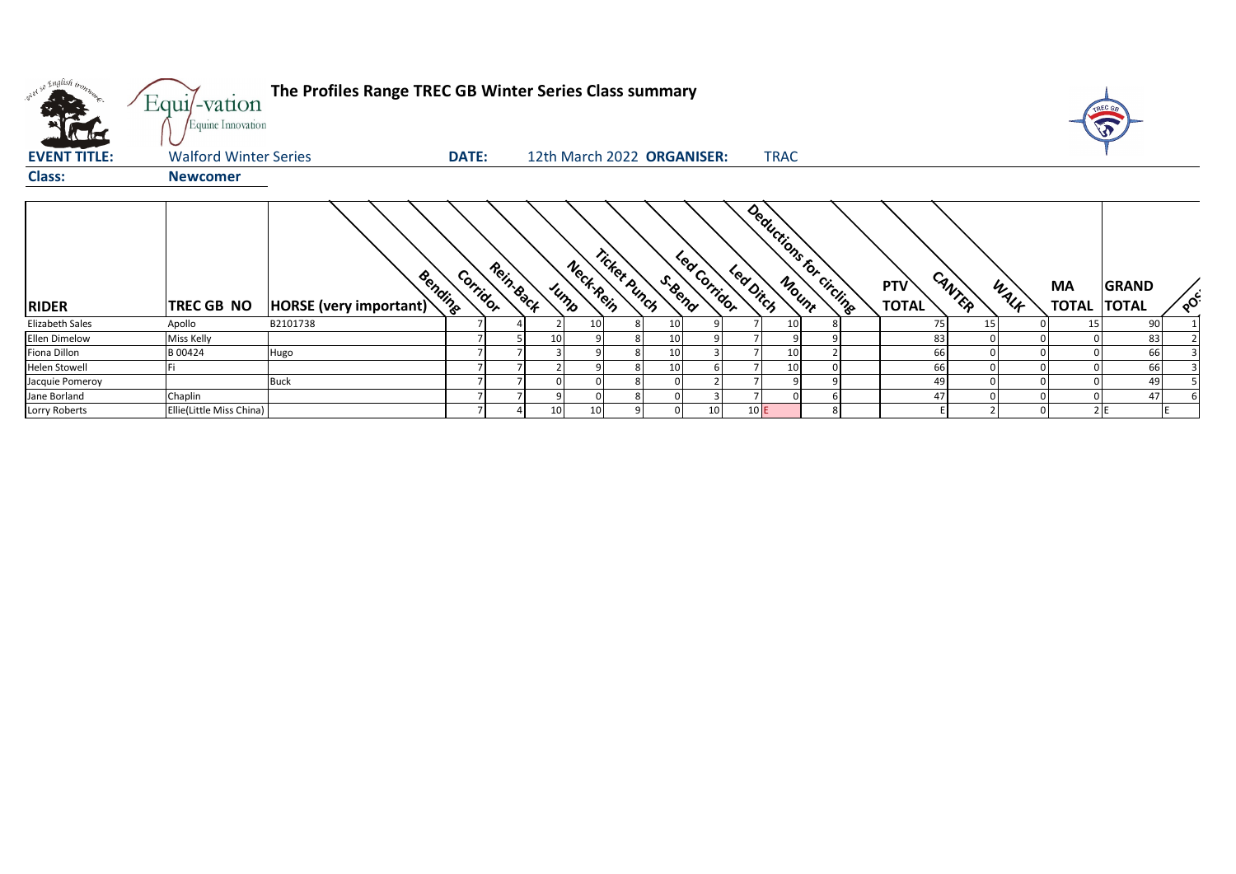| what so English trong | Equi/-vation<br>Equine Innovation | The Profiles Range TREC GB Winter Series Class summary |                       |                   |              |                            |                                     |                            |        |      |                           | TREC G<br>T                  |          |
|-----------------------|-----------------------------------|--------------------------------------------------------|-----------------------|-------------------|--------------|----------------------------|-------------------------------------|----------------------------|--------|------|---------------------------|------------------------------|----------|
| <b>EVENT TITLE:</b>   | <b>Walford Winter Series</b>      |                                                        | <b>DATE:</b>          |                   |              | 12th March 2022 ORGANISER: | <b>TRAC</b>                         |                            |        |      |                           |                              |          |
| <b>Class:</b>         | <b>Newcomer</b>                   |                                                        |                       |                   |              |                            |                                     |                            |        |      |                           |                              |          |
| <b>RIDER</b>          | TREC GB NO                        | Bending<br>HORSE (very important)                      | Rein-Back<br>Corridor | Neck Rein<br>Jump | Ticket punch | Lea Corridor<br>S. Bend    | Deductions for Circlines<br>Leading | <b>PTV</b><br><b>TOTAL</b> | CANTER | WALK | <b>MA</b><br><b>TOTAL</b> | <b>GRAND</b><br><b>TOTAL</b> | $\delta$ |
| Elizabeth Sales       | Apollo                            | B2101738                                               |                       | 10 <sub>1</sub>   |              | 10                         | 10                                  |                            | 75     | 15   | 15                        | 90                           |          |
| Ellen Dimelow         | Miss Kelly                        |                                                        |                       | 10                |              | 10                         |                                     |                            | 83     |      |                           | 83                           |          |
| Fiona Dillon          | B 00424                           | Hugo                                                   |                       |                   |              | 10                         | 10                                  |                            | 66     |      |                           | 66                           |          |
| <b>Helen Stowell</b>  |                                   |                                                        |                       |                   |              | 10                         | 10 <sub>1</sub>                     |                            | 66     |      |                           | 66                           |          |
| Jacquie Pomeroy       |                                   | <b>Buck</b>                                            |                       |                   |              |                            |                                     |                            | 49     |      |                           | 49                           |          |
| Jane Borland          | Chaplin                           |                                                        |                       |                   |              |                            |                                     |                            | 47     |      |                           | 47                           |          |
| Lorry Roberts         | Ellie(Little Miss China)          |                                                        |                       | 10<br>10          |              | 10 <sup>1</sup>            | 10E                                 |                            |        |      |                           | 2E                           |          |